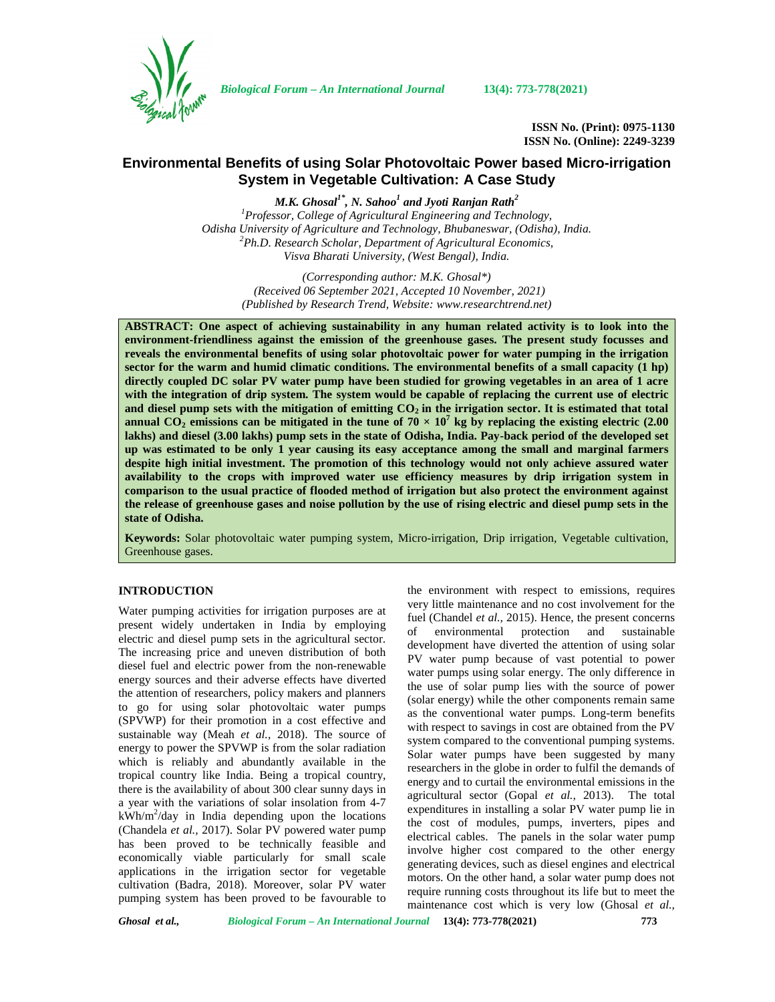

*Biological Forum – An International Journal* **13(4): 773-778(2021)**

**ISSN No. (Print): 0975-1130 ISSN No. (Online): 2249-3239**

# **Environmental Benefits of using Solar Photovoltaic Power based Micro-irrigation System in Vegetable Cultivation: A Case Study**

*M.K. Ghosal1\* , N. Sahoo<sup>1</sup> and Jyoti Ranjan Rath<sup>2</sup>* <sup>1</sup>*Professor, College of Agricultural Engineering and Technology, Odisha University of Agriculture and Technology, Bhubaneswar, (Odisha), India. Odisha University of Agriculture and Technology, Bhubaneswar, (Odisha), India. <sup>2</sup>Ph.D. Research Scholar, Department of Agricultural Economics, Visva Bharati University, (West Bengal), India.*

*(Corresponding author: M.K. Ghosal\*) (Received 06 September 2021, Accepted 10 November, 2021) (Published by Research Trend, Website: [www.researchtrend.net\)](www.researchtrend.net)*

**ABSTRACT: One aspect of achieving sustainability in any human related activity is to look into the environment-friendliness against the emission of the greenhouse gases. The present study focusses and reveals the environmental benefits of using solar photovoltaic power for water pumping in the irrigation sector for the warm and humid climatic conditions. The environmental benefits of a small capacity (1 hp) directly coupled DC solar PV water pump have been studied for growing vegetables in an area of 1 acre with the integration of drip system. The system would be capable of replacing the current use of electric and diesel pump sets with the mitigation of emitting CO<sup>2</sup> in the irrigation sector. It is estimated that total annual CO**<sub>2</sub> **emissions can be mitigated in the tune of**  $70 \times 10^7$  **kg by replacing the existing electric (2.00) lakhs) and diesel (3.00 lakhs) pump sets in the state of Odisha, India. Pay-back period of the developed set up was estimated to be only 1 year causing its easy acceptance among the small and marginal farmers despite high initial investment. The promotion of this technology would not only achieve assured water availability to the crops with improved water use efficiency measures by drip irrigation system in comparison to the usual practice of flooded method of irrigation but also protect the environment against the release of greenhouse gases and noise pollution by the use of rising electric and diesel pump sets in the state of Odisha.**

**Keywords:** Solar photovoltaic water pumping system, Micro-irrigation, Drip irrigation, Vegetable cultivation, Greenhouse gases.

## **INTRODUCTION**

Water pumping activities for irrigation purposes are at present widely undertaken in India by employing of electric and diesel pump sets in the agricultural sector. The increasing price and uneven distribution of both diesel fuel and electric power from the non-renewable energy sources and their adverse effects have diverted the attention of researchers, policy makers and planners to go for using solar photovoltaic water pumps (SPVWP) for their promotion in a cost effective and sustainable way (Meah *et al.,* 2018). The source of energy to power the SPVWP is from the solar radiation which is reliably and abundantly available in the tropical country like India. Being a tropical country, there is the availability of about 300 clear sunny days in a year with the variations of solar insolation from 4-7 kWh/m<sup>2</sup>/day in India depending upon the locations  $\epsilon_{\text{th}}^{\text{ex}}$ (Chandela *et al.,* 2017). Solar PV powered water pump has been proved to be technically feasible and economically viable particularly for small scale applications in the irrigation sector for vegetable cultivation (Badra, 2018). Moreover, solar PV water pumping system has been proved to be favourable to

the environment with respect to emissions, requires very little maintenance and no cost involvement for the fuel (Chandel *et al.,* 2015). Hence, the present concerns environmental protection and sustainable development have diverted the attention of using solar PV water pump because of vast potential to power water pumps using solar energy. The only difference in the use of solar pump lies with the source of power (solar energy) while the other components remain same as the conventional water pumps. Long-term benefits with respect to savings in cost are obtained from the PV system compared to the conventional pumping systems. Solar water pumps have been suggested by many researchers in the globe in order to fulfil the demands of energy and to curtail the environmental emissions in the agricultural sector (Gopal *et al.,* 2013). The total expenditures in installing a solar PV water pump lie in the cost of modules, pumps, inverters, pipes and electrical cables. The panels in the solar water pump involve higher cost compared to the other energy generating devices, such as diesel engines and electrical motors. On the other hand, a solar water pump does not require running costs throughout its life but to meet the maintenance cost which is very low (Ghosal *et al.,*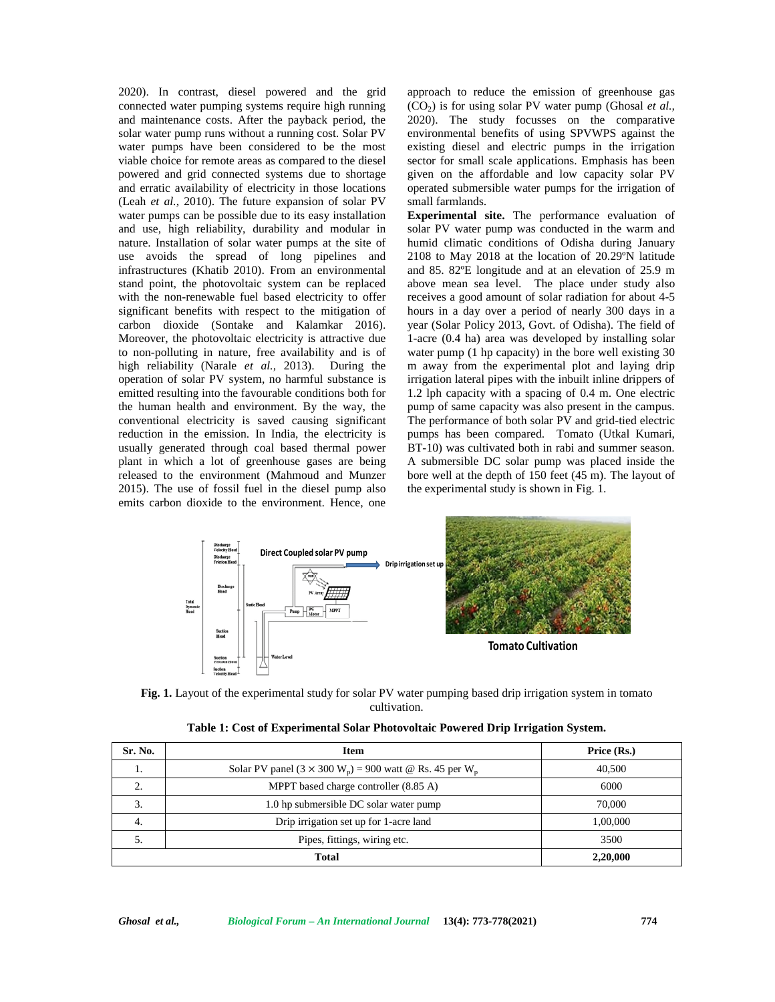2020). In contrast, diesel powered and the grid connected water pumping systems require high running and maintenance costs. After the payback period, the solar water pump runs without a running cost. Solar PV water pumps have been considered to be the most viable choice for remote areas as compared to the diesel powered and grid connected systems due to shortage and erratic availability of electricity in those locations (Leah *et al.,* 2010). The future expansion of solar PV water pumps can be possible due to its easy installation and use, high reliability, durability and modular in nature. Installation of solar water pumps at the site of use avoids the spread of long pipelines and infrastructures (Khatib 2010). From an environmental stand point, the photovoltaic system can be replaced with the non-renewable fuel based electricity to offer significant benefits with respect to the mitigation of carbon dioxide (Sontake and Kalamkar 2016). Moreover, the photovoltaic electricity is attractive due to non-polluting in nature, free availability and is of high reliability (Narale *et al.,* 2013). During the operation of solar PV system, no harmful substance is emitted resulting into the favourable conditions both for the human health and environment. By the way, the conventional electricity is saved causing significant reduction in the emission. In India, the electricity is usually generated through coal based thermal power plant in which a lot of greenhouse gases are being released to the environment (Mahmoud and Munzer 2015). The use of fossil fuel in the diesel pump also emits carbon dioxide to the environment. Hence, one

approach to reduce the emission of greenhouse gas  $(CO<sub>2</sub>)$  is for using solar PV water pump (Ghosal *et al.*, 2020). The study focusses on the comparative environmental benefits of using SPVWPS against the existing diesel and electric pumps in the irrigation sector for small scale applications. Emphasis has been given on the affordable and low capacity solar PV operated submersible water pumps for the irrigation of small farmlands.

**Experimental site.** The performance evaluation of solar PV water pump was conducted in the warm and humid climatic conditions of Odisha during January 2108 to May 2018 at the location of 20.29ºN latitude and 85. 82ºE longitude and at an elevation of 25.9 m above mean sea level. The place under study also receives a good amount of solar radiation for about 4-5 hours in a day over a period of nearly 300 days in a year (Solar Policy 2013, Govt. of Odisha). The field of 1-acre (0.4 ha) area was developed by installing solar water pump (1 hp capacity) in the bore well existing 30 m away from the experimental plot and laying drip irrigation lateral pipes with the inbuilt inline drippers of 1.2 lph capacity with a spacing of 0.4 m. One electric pump of same capacity was also present in the campus. The performance of both solar PV and grid-tied electric pumps has been compared. Tomato (Utkal Kumari, BT-10) was cultivated both in rabi and summer season. A submersible DC solar pump was placed inside the bore well at the depth of 150 feet (45 m). The layout of the experimental study is shown in Fig. 1.



**Fig. 1.** Layout of the experimental study for solar PV water pumping based drip irrigation system in tomato cultivation.

| Sr. No. | Item                                                                                   | Price (Rs.) |
|---------|----------------------------------------------------------------------------------------|-------------|
| .,      | Solar PV panel (3 $\times$ 300 W <sub>n</sub> ) = 900 watt @ Rs. 45 per W <sub>n</sub> | 40,500      |
| ◠       | MPPT based charge controller (8.85 A)                                                  | 6000        |
| 3.      | 1.0 hp submersible DC solar water pump                                                 | 70,000      |
| 4.      | Drip irrigation set up for 1-acre land                                                 | 1,00,000    |
| J.      | Pipes, fittings, wiring etc.                                                           | 3500        |
|         | Total                                                                                  | 2,20,000    |

|  | Table 1: Cost of Experimental Solar Photovoltaic Powered Drip Irrigation System. |  |  |  |  |
|--|----------------------------------------------------------------------------------|--|--|--|--|
|  |                                                                                  |  |  |  |  |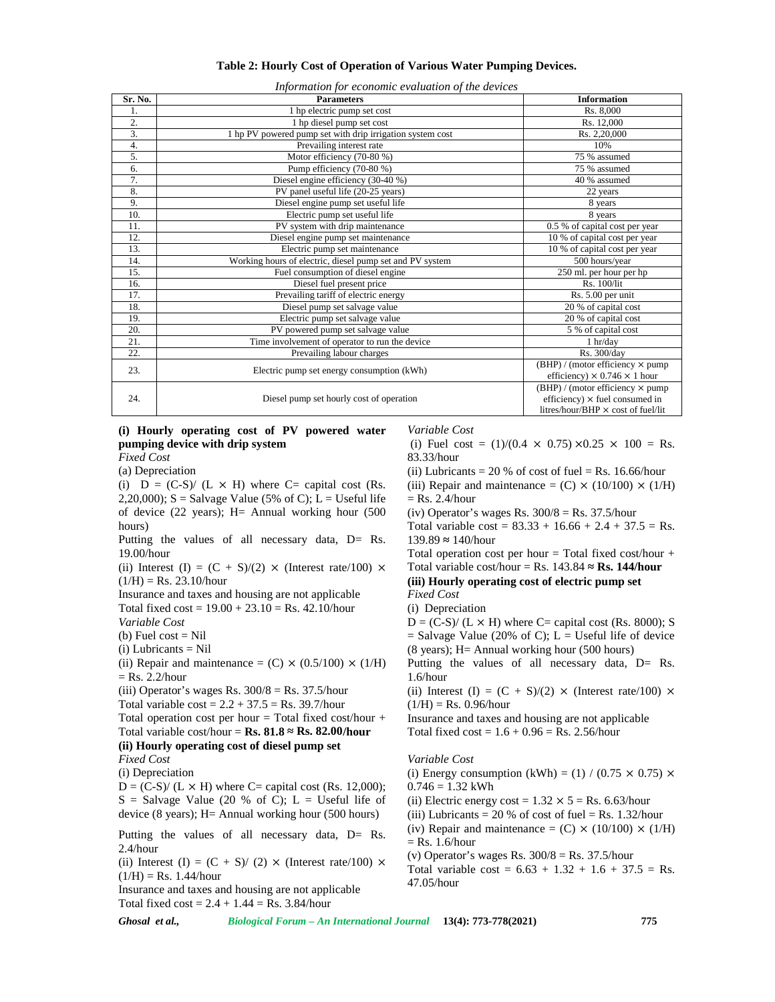|  | Table 2: Hourly Cost of Operation of Various Water Pumping Devices. |
|--|---------------------------------------------------------------------|
|  |                                                                     |

| Information for economic evaluation of the devices |  |  |  |  |
|----------------------------------------------------|--|--|--|--|
|                                                    |  |  |  |  |

| Sr. No.          | <b>Parameters</b>                                         | <b>Information</b>                                                                                                                                |
|------------------|-----------------------------------------------------------|---------------------------------------------------------------------------------------------------------------------------------------------------|
| 1.               | 1 hp electric pump set cost                               | Rs. 8,000                                                                                                                                         |
| 2.               | 1 hp diesel pump set cost                                 | Rs. 12,000                                                                                                                                        |
| 3.               | 1 hp PV powered pump set with drip irrigation system cost | Rs. 2,20,000                                                                                                                                      |
| $\overline{4}$ . | Prevailing interest rate                                  | 10%                                                                                                                                               |
| 5.               | Motor efficiency (70-80 %)                                | 75 % assumed                                                                                                                                      |
| 6.               | Pump efficiency (70-80 %)                                 | 75 % assumed                                                                                                                                      |
| 7.               | Diesel engine efficiency (30-40 %)                        | 40 % assumed                                                                                                                                      |
| 8.               | PV panel useful life (20-25 years)                        | 22 years                                                                                                                                          |
| 9.               | Diesel engine pump set useful life                        | 8 years                                                                                                                                           |
| 10.              | Electric pump set useful life                             | 8 years                                                                                                                                           |
| 11.              | PV system with drip maintenance                           | 0.5 % of capital cost per year                                                                                                                    |
| 12.              | Diesel engine pump set maintenance                        | 10 % of capital cost per year                                                                                                                     |
| 13.              | Electric pump set maintenance                             | 10 % of capital cost per year                                                                                                                     |
| 14.              | Working hours of electric, diesel pump set and PV system  | 500 hours/year                                                                                                                                    |
| 15.              | Fuel consumption of diesel engine                         | 250 ml. per hour per hp                                                                                                                           |
| 16.              | Diesel fuel present price                                 | Rs. 100/lit                                                                                                                                       |
| 17.              | Prevailing tariff of electric energy                      | Rs. 5.00 per unit                                                                                                                                 |
| 18.              | Diesel pump set salvage value                             | 20 % of capital cost                                                                                                                              |
| 19.              | Electric pump set salvage value                           | $\overline{20\%}$ of capital cost                                                                                                                 |
| 20.              | PV powered pump set salvage value                         | 5 % of capital cost                                                                                                                               |
| 21.              | Time involvement of operator to run the device            | 1 hr/day                                                                                                                                          |
| 22.              | Prevailing labour charges                                 | Rs. 300/day                                                                                                                                       |
| 23.              | Electric pump set energy consumption (kWh)                | $(BHP)$ / (motor efficiency $\times$ pump<br>efficiency) $\times$ 0.746 $\times$ 1 hour                                                           |
| 24.              | Diesel pump set hourly cost of operation                  | $\overline{\text{(BHP)}}$ / (motor efficiency $\times$ pump<br>efficiency) $\times$ fuel consumed in<br>litres/hour/BHP $\times$ cost of fuel/lit |

#### **(i) Hourly operating cost of PV powered water pumping device with drip system** *Fixed Cost*

(a) Depreciation

(i)  $D = (C-S)/(L \times H)$  where  $C=$  capital cost (Rs. 2,20,000);  $S =$  Salvage Value (5% of C);  $L =$  Useful life of device (22 years); H= Annual working hour (500 hours)

Putting the values of all necessary data, D= Rs. 19.00/hour

(ii) Interest (I) =  $(C + S)/(2) \times$  (Interest rate/100)  $\times$  $(1/H) =$  Rs. 23.10/hour

Insurance and taxes and housing are not applicable Total fixed  $cost = 19.00 + 23.10 = Rs. 42.10/hour$ *Variable Cost*

(b) Fuel  $cost = Nil$ 

(i) Lubricants = Nil

(ii) Repair and maintenance =  $(C) \times (0.5/100) \times (1/H)$  $=$  Rs. 2.2/hour

(iii) Operator's wages Rs.  $300/8 =$  Rs.  $37.5/h$ our

Total variable  $\cos t = 2.2 + 37.5 = \text{Rs. } 39.7/\text{hour}$ 

Total operation cost per hour  $=$  Total fixed cost/hour  $+$ Total variable cost/hour =  $\mathbf{Rs.} 81.8$   $\mathbf{Rs.} 82.00$ /hour

# **(ii) Hourly operating cost of diesel pump set**

*Fixed Cost*

(i) Depreciation

 $D = (C-S)/(L \times H)$  where  $C=$  capital cost (Rs. 12,000);  $S =$  Salvage Value (20 % of C);  $L =$  Useful life of device (8 years); H= Annual working hour (500 hours)

Putting the values of all necessary data, D= Rs. 2.4/hour

(ii) Interest (I) =  $(C + S)/ (2) \times$  (Interest rate/100)  $\times$  $(1/H) =$  Rs. 1.44/hour

Insurance and taxes and housing are not applicable Total fixed  $cost = 2.4 + 1.44 = Rs. 3.84/hour$ 

*Variable Cost*

(i) Fuel cost =  $(1)/(0.4 \times 0.75) \times 0.25 \times 100 =$  Rs. 83.33/hour

(ii) Lubricants = 20 % of cost of fuel = Rs. 16.66/hour (iii) Repair and maintenance =  $(C) \times (10/100) \times (1/H)$ 

 $=$  Rs. 2.4/hour

(iv) Operator's wages Rs.  $300/8 =$  Rs.  $37.5/h$ our

Total variable  $\cos t = 83.33 + 16.66 + 2.4 + 37.5 = \text{Rs}.$ 139.89 140/hour

Total operation cost per hour  $=$  Total fixed cost/hour  $+$ Total variable cost/hour = Rs.  $143.84$  **Rs. 144/hour (iii) Hourly operating cost of electric pump set**

# *Fixed Cost*

(i) Depreciation

 $D = (C-S)/(L \times H)$  where  $C=$  capital cost (Rs. 8000); S  $=$  Salvage Value (20% of C); L  $=$  Useful life of device (8 years); H= Annual working hour (500 hours)

Putting the values of all necessary data, D= Rs. 1.6/hour

(ii) Interest (I) =  $(C + S)/(2) \times$  (Interest rate/100)  $\times$  $(1/H) = Rs. 0.96/hour$ 

Insurance and taxes and housing are not applicable Total fixed  $cost = 1.6 + 0.96 = Rs$ . 2.56/hour

# *Variable Cost*

(i) Energy consumption (kWh) = (1) / (0.75  $\times$  0.75)  $\times$  $0.746 = 1.32$  kWh (ii) Electric energy cost =  $1.32 \times 5 =$  Rs. 6.63/hour (iii) Lubricants = 20 % of cost of fuel = Rs.  $1.32$ /hour (iv) Repair and maintenance =  $(C) \times (10/100) \times (1/H)$  $=$  Rs. 1.6/hour (v) Operator's wages Rs.  $300/8 =$  Rs.  $37.5/h$ our Total variable cost =  $6.63 + 1.32 + 1.6 + 37.5 =$  Rs. 47.05/hour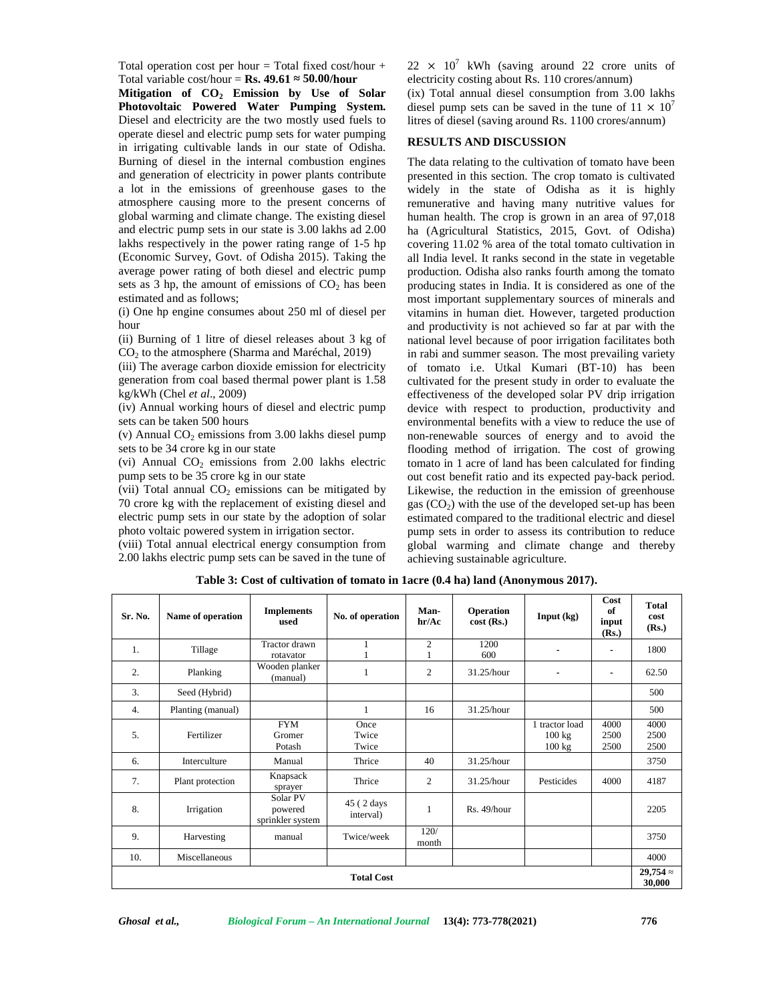Total operation cost per hour  $=$  Total fixed cost/hour  $+$ Total variable cost/hour =  $\mathbf{Rs.}$  **49.61 50.00/hour** 

**Mitigation of CO<sup>2</sup> Emission by Use of Solar Photovoltaic Powered Water Pumping System.** Diesel and electricity are the two mostly used fuels to operate diesel and electric pump sets for water pumping in irrigating cultivable lands in our state of Odisha. Burning of diesel in the internal combustion engines and generation of electricity in power plants contribute a lot in the emissions of greenhouse gases to the atmosphere causing more to the present concerns of global warming and climate change. The existing diesel and electric pump sets in our state is 3.00 lakhs ad 2.00 lakhs respectively in the power rating range of 1-5 hp (Economic Survey, Govt. of Odisha 2015). Taking the average power rating of both diesel and electric pump sets as  $3$  hp, the amount of emissions of  $CO<sub>2</sub>$  has been estimated and as follows;

(i) One hp engine consumes about 250 ml of diesel per hour

(ii) Burning of 1 litre of diesel releases about 3 kg of  $CO<sub>2</sub>$  to the atmosphere (Sharma and Maréchal, 2019)

(iii) The average carbon dioxide emission for electricity generation from coal based thermal power plant is 1.58 kg/kWh (Chel *et al*., 2009)

(iv) Annual working hours of diesel and electric pump sets can be taken 500 hours

(v) Annual  $CO<sub>2</sub>$  emissions from 3.00 lakhs diesel pump sets to be 34 crore kg in our state

(vi) Annual  $CO<sub>2</sub>$  emissions from 2.00 lakhs electric pump sets to be 35 crore kg in our state

(vii) Total annual  $CO<sub>2</sub>$  emissions can be mitigated by 70 crore kg with the replacement of existing diesel and electric pump sets in our state by the adoption of solar photo voltaic powered system in irrigation sector.

(viii) Total annual electrical energy consumption from 2.00 lakhs electric pump sets can be saved in the tune of  $22 \times 10^7$  kWh (saving around 22 crore units of electricity costing about Rs. 110 crores/annum)  $(ix)$  Total annual diesel consumption from 3.00 lakhs diesel pump sets can be saved in the tune of  $11 \times 10^7$ litres of diesel (saving around Rs. 1100 crores/annum)

#### **RESULTS AND DISCUSSION**

The data relating to the cultivation of tomato have been presented in this section. The crop tomato is cultivated widely in the state of Odisha as it is highly remunerative and having many nutritive values for human health. The crop is grown in an area of 97,018 ha (Agricultural Statistics, 2015, Govt. of Odisha) covering 11.02 % area of the total tomato cultivation in all India level. It ranks second in the state in vegetable production. Odisha also ranks fourth among the tomato producing states in India. It is considered as one of the most important supplementary sources of minerals and vitamins in human diet. However, targeted production and productivity is not achieved so far at par with the national level because of poor irrigation facilitates both in rabi and summer season. The most prevailing variety of tomato i.e. Utkal Kumari (BT-10) has been cultivated for the present study in order to evaluate the effectiveness of the developed solar PV drip irrigation device with respect to production, productivity and environmental benefits with a view to reduce the use of non-renewable sources of energy and to avoid the flooding method of irrigation. The cost of growing tomato in 1 acre of land has been calculated for finding out cost benefit ratio and its expected pay-back period. Likewise, the reduction in the emission of greenhouse gas  $(CO<sub>2</sub>)$  with the use of the developed set-up has been estimated compared to the traditional electric and diesel pump sets in order to assess its contribution to reduce global warming and climate change and thereby achieving sustainable agriculture.

| Sr. No.           | Name of operation | <b>Implements</b><br>used               | No. of operation        | Man-<br>hr/Ac  | <b>Operation</b><br>$cost$ (Rs.) | Input (kg)                         | Cost<br>of<br>input<br>(Rs.) | <b>Total</b><br>cost<br>(Rs.) |
|-------------------|-------------------|-----------------------------------------|-------------------------|----------------|----------------------------------|------------------------------------|------------------------------|-------------------------------|
| 1.                | Tillage           | Tractor drawn<br>rotavator              |                         | $\mathfrak{2}$ | 1200<br>600                      |                                    | ٠                            | 1800                          |
| 2.                | Planking          | Wooden planker<br>(manual)              |                         | 2              | 31.25/hour                       | ٠                                  | ٠                            | 62.50                         |
| 3.                | Seed (Hybrid)     |                                         |                         |                |                                  |                                    |                              | 500                           |
| 4.                | Planting (manual) |                                         | 1                       | 16             | 31.25/hour                       |                                    |                              | 500                           |
| 5.                | Fertilizer        | <b>FYM</b><br>Gromer<br>Potash          | Once<br>Twice<br>Twice  |                |                                  | 1 tractor load<br>100 kg<br>100 kg | 4000<br>2500<br>2500         | 4000<br>2500<br>2500          |
| 6.                | Interculture      | Manual                                  | Thrice                  | 40             | 31.25/hour                       |                                    |                              | 3750                          |
| 7.                | Plant protection  | Knapsack<br>sprayer                     | Thrice                  | $\overline{c}$ | 31.25/hour                       | Pesticides                         | 4000                         | 4187                          |
| 8.                | Irrigation        | Solar PV<br>powered<br>sprinkler system | 45 (2 days<br>interval) | 1              | Rs. 49/hour                      |                                    |                              | 2205                          |
| 9.                | Harvesting        | manual                                  | Twice/week              | 120/<br>month  |                                  |                                    |                              | 3750                          |
| 10.               | Miscellaneous     |                                         |                         |                |                                  |                                    |                              | 4000                          |
| <b>Total Cost</b> |                   |                                         |                         |                |                                  |                                    |                              |                               |

**Table 3: Cost of cultivation of tomato in 1acre (0.4 ha) land (Anonymous 2017).**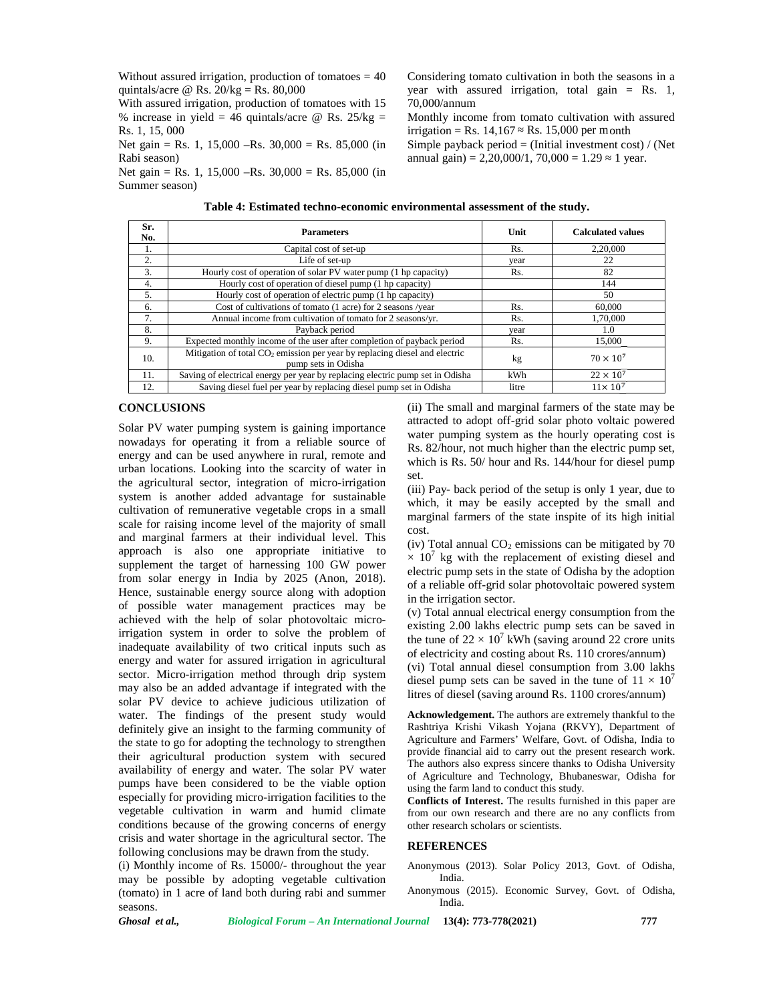Without assured irrigation, production of tomatoes  $= 40$ quintals/acre @ Rs.  $20/kg = Rs. 80,000$ 

With assured irrigation, production of tomatoes with 15 % increase in yield =  $46$  quintals/acre @ Rs. 25/kg = Rs. 1, 15, 000

Net gain = Rs. 1, 15,000 –Rs. 30,000 = Rs. 85,000 (in Rabi season)

Net gain = Rs. 1, 15,000 –Rs. 30,000 = Rs. 85,000 (in Summer season)

**Sr. No. Parameters Unit Calculated values** 1. Capital cost of set-up Rs. 2,20,000 2.  $\vert$  22 Life of set-up  $\vert$  year 22 3. Hourly cost of operation of solar PV water pump (1 hp capacity) Rs. 82<br>4. Hourly cost of operation of diesel pump (1 hp capacity) 144 Hourly cost of operation of diesel pump (1 hp capacity) 144 5. Hourly cost of operation of electric pump (1 hp capacity) 6. Cost of cultivations of tomato (1 acre) for 2 seasons /year Rs. 60,000 7. Annual income from cultivation of tomato for 2 seasons/yr. Rs. 1,70,000 8. Payback period by the service period of payback period year 1.0<br>
9. Expected monthly income of the user after completion of payback period Rs. 15,000 Expected monthly income of the user after completion of payback period Rs. 10. Mitigation of total  $CO<sub>2</sub>$  emission per year by replacing diesel and electric mission per year by replacing dieser and electric<br>
pump sets in Odisha<br>
per year by replacing electric pump set in Odisha<br>
kWh 22 × 10<sup>7</sup> 11. Saving of electrical energy per year by replacing electric pump set in Odisha kWh 22 × 10<sup>7</sup><br>12. Saving diesel fuel per year by replacing diesel pump set in Odisha litre 11×10<sup>7</sup> Saving diesel fuel per year by replacing diesel pump set in Odisha

## **Table 4: Estimated techno-economic environmental assessment of the study.**

#### **CONCLUSIONS**

Solar PV water pumping system is gaining importance nowadays for operating it from a reliable source of energy and can be used anywhere in rural, remote and urban locations. Looking into the scarcity of water in the agricultural sector, integration of micro-irrigation system is another added advantage for sustainable cultivation of remunerative vegetable crops in a small scale for raising income level of the majority of small and marginal farmers at their individual level. This approach is also one appropriate initiative to supplement the target of harnessing 100 GW power from solar energy in India by 2025 (Anon, 2018). Hence, sustainable energy source along with adoption of possible water management practices may be achieved with the help of solar photovoltaic microirrigation system in order to solve the problem of inadequate availability of two critical inputs such as energy and water for assured irrigation in agricultural sector. Micro-irrigation method through drip system may also be an added advantage if integrated with the solar PV device to achieve judicious utilization of water. The findings of the present study would definitely give an insight to the farming community of the state to go for adopting the technology to strengthen their agricultural production system with secured availability of energy and water. The solar PV water pumps have been considered to be the viable option especially for providing micro-irrigation facilities to the vegetable cultivation in warm and humid climate conditions because of the growing concerns of energy crisis and water shortage in the agricultural sector. The following conclusions may be drawn from the study.

(i) Monthly income of Rs. 15000/- throughout the year may be possible by adopting vegetable cultivation (tomato) in 1 acre of land both during rabi and summer seasons.

(ii) The small and marginal farmers of the state may be attracted to adopt off-grid solar photo voltaic powered water pumping system as the hourly operating cost is Rs. 82/hour, not much higher than the electric pump set, which is Rs. 50/ hour and Rs. 144/hour for diesel pump set.

(iii) Pay- back period of the setup is only 1 year, due to which, it may be easily accepted by the small and marginal farmers of the state inspite of its high initial cost.

(iv) Total annual  $CO<sub>2</sub>$  emissions can be mitigated by 70  $\times$  10<sup>7</sup> kg with the replacement of existing diesel and electric pump sets in the state of Odisha by the adoption of a reliable off-grid solar photovoltaic powered system in the irrigation sector.

(v) Total annual electrical energy consumption from the existing 2.00 lakhs electric pump sets can be saved in the tune of  $22 \times 10^7$  kWh (saving around 22 crore units of electricity and costing about Rs. 110 crores/annum) (vi) Total annual diesel consumption from 3.00 lakhs diesel pump sets can be saved in the tune of  $11 \times 10^7$ litres of diesel (saving around Rs. 1100 crores/annum)

**Acknowledgement.** The authors are extremely thankful to the Rashtriya Krishi Vikash Yojana (RKVY), Department of Agriculture and Farmers' Welfare, Govt. of Odisha, India to provide financial aid to carry out the present research work. The authors also express sincere thanks to Odisha University of Agriculture and Technology, Bhubaneswar, Odisha for using the farm land to conduct this study.

**Conflicts of Interest.** The results furnished in this paper are from our own research and there are no any conflicts from other research scholars or scientists.

## **REFERENCES**

Anonymous (2013). Solar Policy 2013, Govt. of Odisha, India.

Anonymous (2015). Economic Survey, Govt. of Odisha, India.

*Ghosal et al., Biological Forum – An International Journal* **13(4): 773-778(2021) 777**

#### Considering tomato cultivation in both the seasons in a year with assured irrigation, total gain = Rs. 1, 70,000/annum

Monthly income from tomato cultivation with assured

Simple payback period = (Initial investment cost) / (Net annual gain) =  $2,20,000/1, 70,000 = 1.29$  1 year.

 $irrigation = Rs. 14,167$  Rs. 15,000 per month